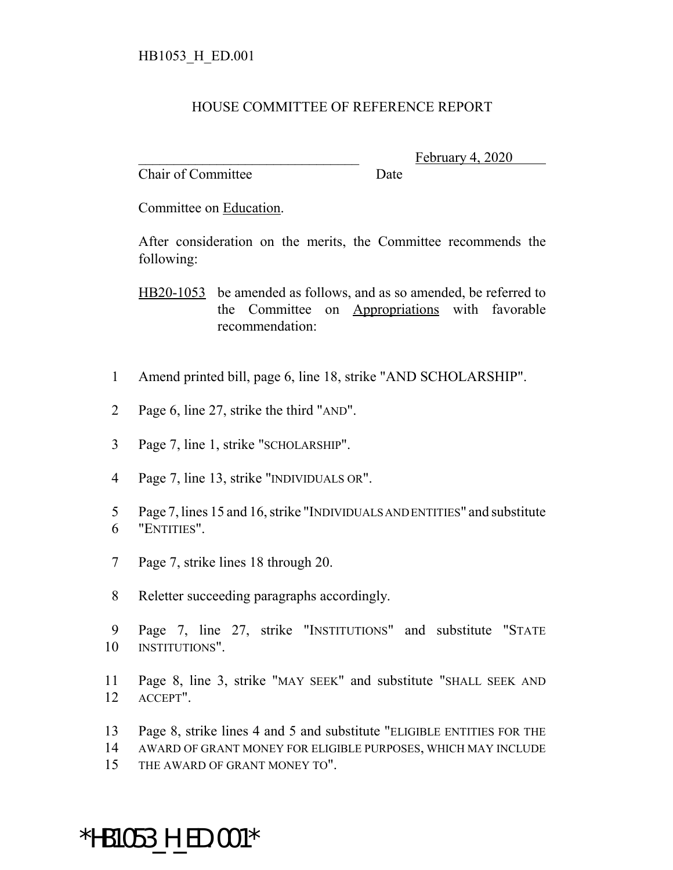## HOUSE COMMITTEE OF REFERENCE REPORT

Chair of Committee Date

February 4,

Committee on Education.

After consideration on the merits, the Committee recommends the following:

HB20-1053 be amended as follows, and as so amended, be referred to the Committee on Appropriations with favorable recommendation:

- Amend printed bill, page 6, line 18, strike "AND SCHOLARSHIP".
- Page 6, line 27, strike the third "AND".
- Page 7, line 1, strike "SCHOLARSHIP".
- Page 7, line 13, strike "INDIVIDUALS OR".
- Page 7, lines 15 and 16, strike "INDIVIDUALS AND ENTITIES" and substitute "ENTITIES".
- Page 7, strike lines 18 through 20.
- Reletter succeeding paragraphs accordingly.
- Page 7, line 27, strike "INSTITUTIONS" and substitute "STATE INSTITUTIONS".
- Page 8, line 3, strike "MAY SEEK" and substitute "SHALL SEEK AND ACCEPT".
- Page 8, strike lines 4 and 5 and substitute "ELIGIBLE ENTITIES FOR THE
- AWARD OF GRANT MONEY FOR ELIGIBLE PURPOSES, WHICH MAY INCLUDE
- THE AWARD OF GRANT MONEY TO".

## \*HB1053\_H\_ED.001\*